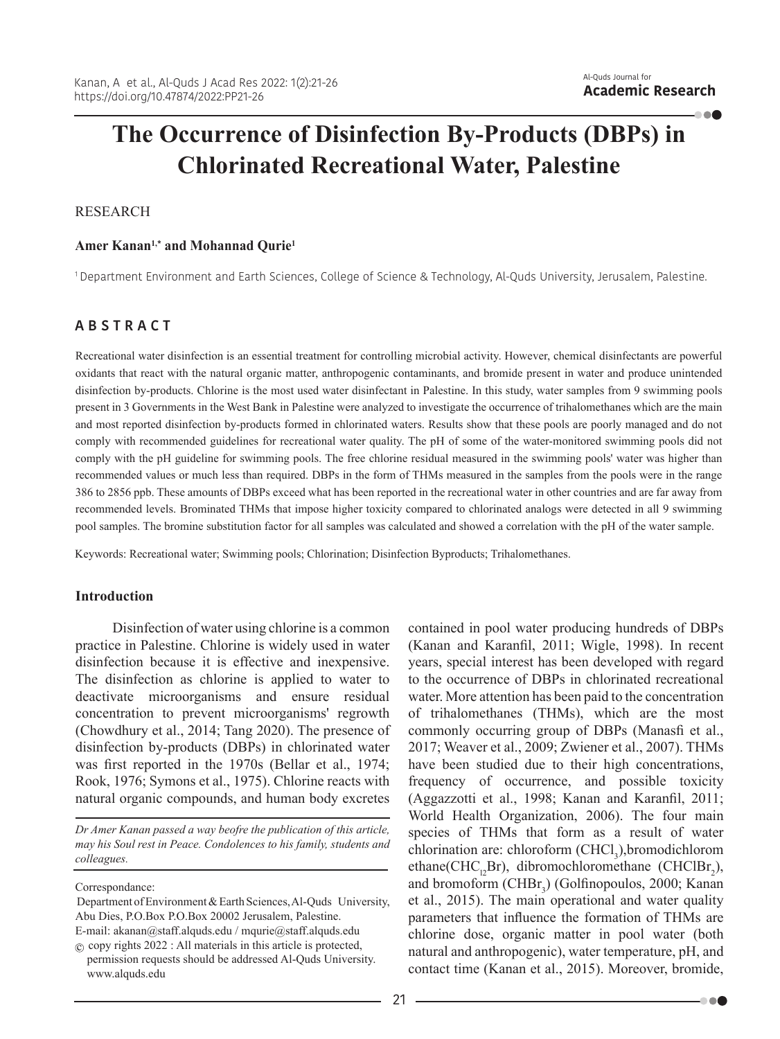. . .

# **The Occurrence of Disinfection By-Products (DBPs) in Chlorinated Recreational Water, Palestine**

## RESEARCH

## Amer Kanan<sup>1,\*</sup> and Mohannad Qurie<sup>1</sup>

1 Department Environment and Earth Sciences, College of Science & Technology, Al-Quds University, Jerusalem, Palestine.

# **A B S T R A C T**

Recreational water disinfection is an essential treatment for controlling microbial activity. However, chemical disinfectants are powerful oxidants that react with the natural organic matter, anthropogenic contaminants, and bromide present in water and produce unintended disinfection by-products. Chlorine is the most used water disinfectant in Palestine. In this study, water samples from 9 swimming pools present in 3 Governments in the West Bank in Palestine were analyzed to investigate the occurrence of trihalomethanes which are the main and most reported disinfection by-products formed in chlorinated waters. Results show that these pools are poorly managed and do not comply with recommended guidelines for recreational water quality. The pH of some of the water-monitored swimming pools did not comply with the pH guideline for swimming pools. The free chlorine residual measured in the swimming pools' water was higher than recommended values or much less than required. DBPs in the form of THMs measured in the samples from the pools were in the range 386 to 2856 ppb. These amounts of DBPs exceed what has been reported in the recreational water in other countries and are far away from recommended levels. Brominated THMs that impose higher toxicity compared to chlorinated analogs were detected in all 9 swimming pool samples. The bromine substitution factor for all samples was calculated and showed a correlation with the pH of the water sample.

Keywords: Recreational water; Swimming pools; Chlorination; Disinfection Byproducts; Trihalomethanes.

## **Introduction**

Disinfection of water using chlorine is a common practice in Palestine. Chlorine is widely used in water disinfection because it is effective and inexpensive. The disinfection as chlorine is applied to water to deactivate microorganisms and ensure residual concentration to prevent microorganisms' regrowth (Chowdhury et al., 2014; Tang 2020). The presence of disinfection by-products (DBPs) in chlorinated water was first reported in the 1970s (Bellar et al., 1974; Rook, 1976; Symons et al., 1975). Chlorine reacts with natural organic compounds, and human body excretes

*Dr Amer Kanan passed a way beofre the publication of this article, may his Soul rest in Peace. Condolences to his family, students and colleagues.*

Correspondance:

contained in pool water producing hundreds of DBPs (Kanan and Karanfil, 2011; Wigle, 1998). In recent years, special interest has been developed with regard to the occurrence of DBPs in chlorinated recreational water. More attention has been paid to the concentration of trihalomethanes (THMs), which are the most commonly occurring group of DBPs (Manasfi et al., 2017; Weaver et al., 2009; Zwiener et al., 2007). THMs have been studied due to their high concentrations, frequency of occurrence, and possible toxicity (Aggazzotti et al., 1998; Kanan and Karanfil, 2011; World Health Organization, 2006). The four main species of THMs that form as a result of water  $chlorination$  are: chloroform  $(CHCl<sub>3</sub>$ ), bromodichlorom ethane(CHC<sub>12</sub>Br), dibromochloromethane (CHClBr<sub>2</sub>), and bromoform (CHBr<sub>3</sub>) (Golfinopoulos, 2000; Kanan et al., 2015). The main operational and water quality parameters that influence the formation of THMs are chlorine dose, organic matter in pool water (both natural and anthropogenic), water temperature, pH, and contact time (Kanan et al., 2015). Moreover, bromide,

. . .

Department of Environment & Earth Sciences, Al-Quds University, Abu Dies, P.O.Box P.O.Box 20002 Jerusalem, Palestine. E-mail: akanan@staff.alquds.edu / mqurie@staff.alquds.edu

 $\odot$  copy rights 2022 : All materials in this article is protected, permission requests should be addressed Al-Quds University. www.alquds.edu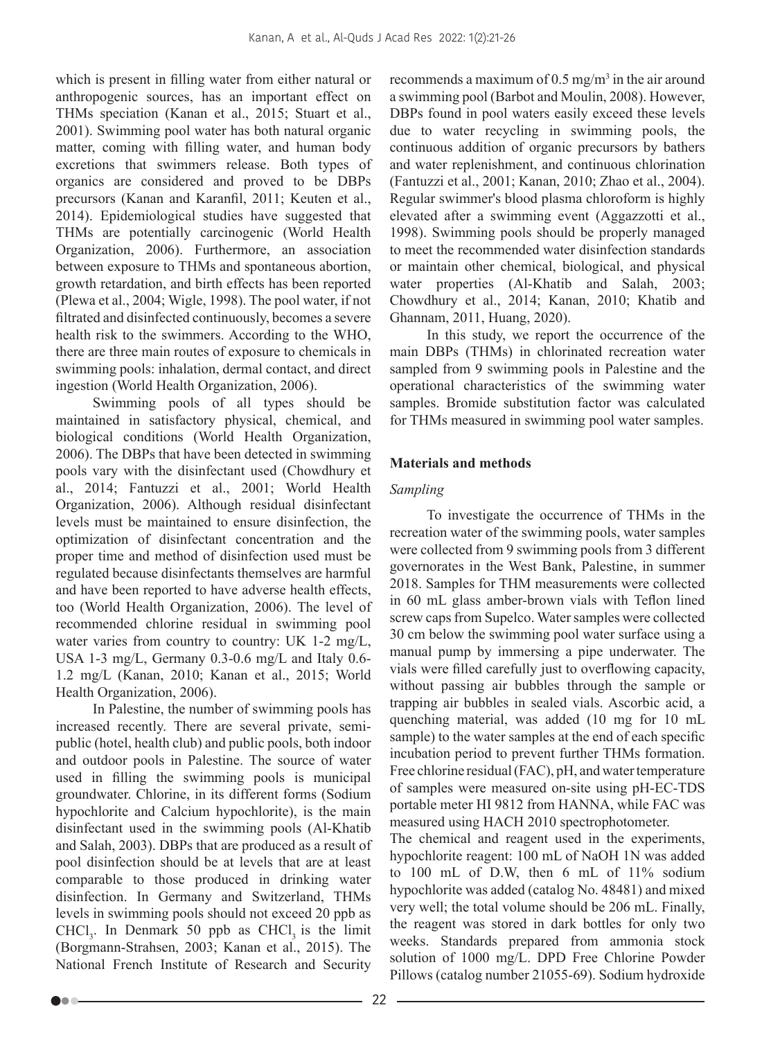which is present in filling water from either natural or anthropogenic sources, has an important effect on THMs speciation (Kanan et al., 2015; Stuart et al., 2001). Swimming pool water has both natural organic matter, coming with filling water, and human body excretions that swimmers release. Both types of organics are considered and proved to be DBPs precursors (Kanan and Karanfil, 2011; Keuten et al., 2014). Epidemiological studies have suggested that THMs are potentially carcinogenic (World Health Organization, 2006). Furthermore, an association between exposure to THMs and spontaneous abortion, growth retardation, and birth effects has been reported (Plewa et al., 2004; Wigle, 1998). The pool water, if not filtrated and disinfected continuously, becomes a severe health risk to the swimmers. According to the WHO, there are three main routes of exposure to chemicals in swimming pools: inhalation, dermal contact, and direct ingestion (World Health Organization, 2006).

Swimming pools of all types should be maintained in satisfactory physical, chemical, and biological conditions (World Health Organization, 2006). The DBPs that have been detected in swimming pools vary with the disinfectant used (Chowdhury et al., 2014; Fantuzzi et al., 2001; World Health Organization, 2006). Although residual disinfectant levels must be maintained to ensure disinfection, the optimization of disinfectant concentration and the proper time and method of disinfection used must be regulated because disinfectants themselves are harmful and have been reported to have adverse health effects, too (World Health Organization, 2006). The level of recommended chlorine residual in swimming pool water varies from country to country: UK 1-2 mg/L, USA 1-3 mg/L, Germany 0.3-0.6 mg/L and Italy 0.6- 1.2 mg/L (Kanan, 2010; Kanan et al., 2015; World Health Organization, 2006).

In Palestine, the number of swimming pools has increased recently. There are several private, semipublic (hotel, health club) and public pools, both indoor and outdoor pools in Palestine. The source of water used in filling the swimming pools is municipal groundwater. Chlorine, in its different forms (Sodium hypochlorite and Calcium hypochlorite), is the main disinfectant used in the swimming pools (Al-Khatib and Salah, 2003). DBPs that are produced as a result of pool disinfection should be at levels that are at least comparable to those produced in drinking water disinfection. In Germany and Switzerland, THMs levels in swimming pools should not exceed 20 ppb as  $CHCl<sub>3</sub>$ . In Denmark 50 ppb as  $CHCl<sub>3</sub>$  is the limit (Borgmann-Strahsen, 2003; Kanan et al., 2015). The National French Institute of Research and Security

recommends a maximum of  $0.5 \text{ mg/m}^3$  in the air around a swimming pool (Barbot and Moulin, 2008). However, DBPs found in pool waters easily exceed these levels due to water recycling in swimming pools, the continuous addition of organic precursors by bathers and water replenishment, and continuous chlorination (Fantuzzi et al., 2001; Kanan, 2010; Zhao et al., 2004). Regular swimmer's blood plasma chloroform is highly elevated after a swimming event (Aggazzotti et al., 1998). Swimming pools should be properly managed to meet the recommended water disinfection standards or maintain other chemical, biological, and physical water properties (Al-Khatib and Salah, 2003; Chowdhury et al., 2014; Kanan, 2010; Khatib and Ghannam, 2011, Huang, 2020).

In this study, we report the occurrence of the main DBPs (THMs) in chlorinated recreation water sampled from 9 swimming pools in Palestine and the operational characteristics of the swimming water samples. Bromide substitution factor was calculated for THMs measured in swimming pool water samples.

# **Materials and methods**

## *Sampling*

To investigate the occurrence of THMs in the recreation water of the swimming pools, water samples were collected from 9 swimming pools from 3 different governorates in the West Bank, Palestine, in summer 2018. Samples for THM measurements were collected in 60 mL glass amber-brown vials with Teflon lined screw caps from Supelco. Water samples were collected 30 cm below the swimming pool water surface using a manual pump by immersing a pipe underwater. The vials were filled carefully just to overflowing capacity, without passing air bubbles through the sample or trapping air bubbles in sealed vials. Ascorbic acid, a quenching material, was added (10 mg for 10 mL sample) to the water samples at the end of each specific incubation period to prevent further THMs formation. Free chlorine residual (FAC), pH, and water temperature of samples were measured on-site using pH-EC-TDS portable meter HI 9812 from HANNA, while FAC was measured using HACH 2010 spectrophotometer.

The chemical and reagent used in the experiments, hypochlorite reagent: 100 mL of NaOH 1N was added to 100 mL of D.W, then 6 mL of 11% sodium hypochlorite was added (catalog No. 48481) and mixed very well; the total volume should be 206 mL. Finally, the reagent was stored in dark bottles for only two weeks. Standards prepared from ammonia stock solution of 1000 mg/L. DPD Free Chlorine Powder Pillows (catalog number 21055-69). Sodium hydroxide

Do a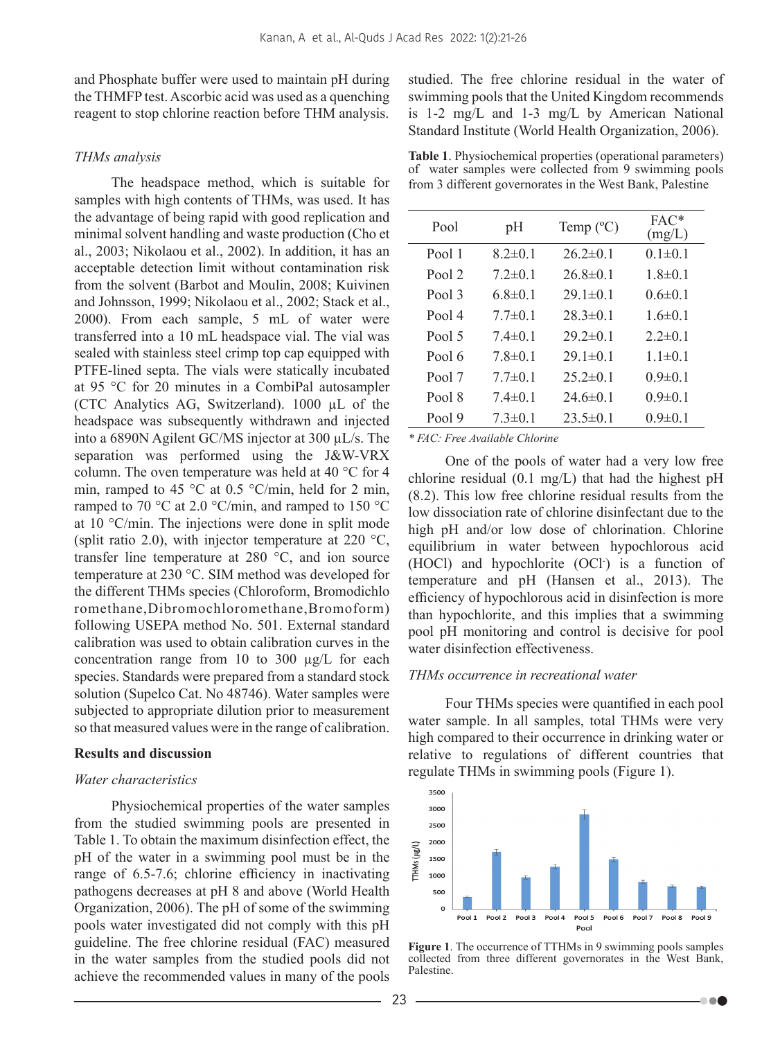and Phosphate buffer were used to maintain pH during the THMFP test. Ascorbic acid was used as a quenching reagent to stop chlorine reaction before THM analysis.

## *THMs analysis*

The headspace method, which is suitable for samples with high contents of THMs, was used. It has the advantage of being rapid with good replication and minimal solvent handling and waste production (Cho et al., 2003; Nikolaou et al., 2002). In addition, it has an acceptable detection limit without contamination risk from the solvent (Barbot and Moulin, 2008; Kuivinen and Johnsson, 1999; Nikolaou et al., 2002; Stack et al., 2000). From each sample, 5 mL of water were transferred into a 10 mL headspace vial. The vial was sealed with stainless steel crimp top cap equipped with PTFE-lined septa. The vials were statically incubated at 95 °C for 20 minutes in a CombiPal autosampler (CTC Analytics AG, Switzerland). 1000 µL of the headspace was subsequently withdrawn and injected into a 6890N Agilent GC/MS injector at 300 µL/s. The separation was performed using the J&W-VRX column. The oven temperature was held at 40 °C for 4 min, ramped to 45  $\degree$ C at 0.5  $\degree$ C/min, held for 2 min, ramped to 70 °C at 2.0 °C/min, and ramped to 150 °C at 10 °C/min. The injections were done in split mode (split ratio 2.0), with injector temperature at 220  $^{\circ}$ C, transfer line temperature at 280 °C, and ion source temperature at 230 °C. SIM method was developed for the different THMs species (Chloroform, Bromodichlo romethane,Dibromochloromethane,Bromoform) following USEPA method No. 501. External standard calibration was used to obtain calibration curves in the concentration range from 10 to 300 µg/L for each species. Standards were prepared from a standard stock solution (Supelco Cat. No 48746). Water samples were subjected to appropriate dilution prior to measurement so that measured values were in the range of calibration.

## **Results and discussion**

## *Water characteristics*

Physiochemical properties of the water samples from the studied swimming pools are presented in Table 1. To obtain the maximum disinfection effect, the pH of the water in a swimming pool must be in the range of 6.5-7.6; chlorine efficiency in inactivating pathogens decreases at pH 8 and above (World Health Organization, 2006). The pH of some of the swimming pools water investigated did not comply with this pH guideline. The free chlorine residual (FAC) measured in the water samples from the studied pools did not achieve the recommended values in many of the pools

studied. The free chlorine residual in the water of swimming pools that the United Kingdom recommends is 1-2 mg/L and 1-3 mg/L by American National Standard Institute (World Health Organization, 2006).

**Table 1**. Physiochemical properties (operational parameters) of water samples were collected from 9 swimming pools from 3 different governorates in the West Bank, Palestine

| Pool   | pH            | Temp $(^{\circ}C)$ | $FAC*$<br>(mg/L) |
|--------|---------------|--------------------|------------------|
| Pool 1 | $8.2 \pm 0.1$ | $262 \pm 01$       | $0.1 \pm 0.1$    |
| Pool 2 | $72\pm 01$    | $26.8 \pm 0.1$     | $18\pm0.1$       |
| Pool 3 | 6.8 $\pm$ 0.1 | $291 \pm 01$       | $06\pm01$        |
| Pool 4 | $77\pm 0.1$   | $283 \pm 01$       | $16\pm0.1$       |
| Pool 5 | $74\pm0.1$    | $292 \pm 01$       | $22 \pm 01$      |
| Pool 6 | 7 8±0 1       | $291 \pm 01$       | $1.1\pm 0.1$     |
| Pool 7 | $7.7 \pm 0.1$ | $252\pm0.1$        | $0.9 \pm 0.1$    |
| Pool 8 | $7.4 \pm 0.1$ | $246 \pm 01$       | $0.9 \pm 0.1$    |
| Pool 9 | $73\pm0.1$    | $23.5 \pm 0.1$     | $0.9 \pm 0.1$    |

*\* FAC: Free Available Chlorine*

One of the pools of water had a very low free chlorine residual (0.1 mg/L) that had the highest pH (8.2). This low free chlorine residual results from the low dissociation rate of chlorine disinfectant due to the high pH and/or low dose of chlorination. Chlorine equilibrium in water between hypochlorous acid (HOCl) and hypochlorite (OCl- ) is a function of temperature and pH (Hansen et al., 2013). The efficiency of hypochlorous acid in disinfection is more than hypochlorite, and this implies that a swimming pool pH monitoring and control is decisive for pool water disinfection effectiveness.

### *THMs occurrence in recreational water*

Four THMs species were quantified in each pool water sample. In all samples, total THMs were very high compared to their occurrence in drinking water or relative to regulations of different countries that regulate THMs in swimming pools (Figure 1).



**Figure 1**. The occurrence of TTHMs in 9 swimming pools samples collected from three different governorates in the West Bank, Palestine.

. . .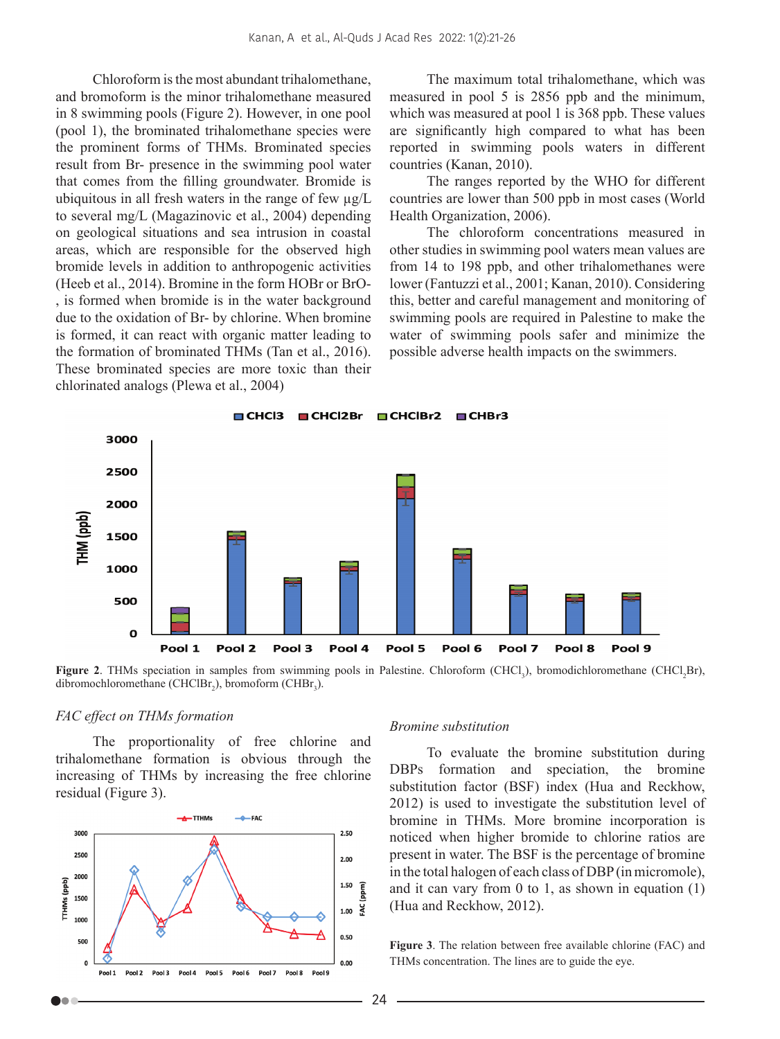Chloroform is the most abundant trihalomethane, and bromoform is the minor trihalomethane measured in 8 swimming pools (Figure 2). However, in one pool (pool 1), the brominated trihalomethane species were the prominent forms of THMs. Brominated species result from Br- presence in the swimming pool water that comes from the filling groundwater. Bromide is ubiquitous in all fresh waters in the range of few  $\mu$ g/L to several mg/L (Magazinovic et al., 2004) depending on geological situations and sea intrusion in coastal areas, which are responsible for the observed high bromide levels in addition to anthropogenic activities (Heeb et al., 2014). Bromine in the form HOBr or BrO- , is formed when bromide is in the water background due to the oxidation of Br- by chlorine. When bromine is formed, it can react with organic matter leading to the formation of brominated THMs (Tan et al., 2016). These brominated species are more toxic than their chlorinated analogs (Plewa et al., 2004)

The maximum total trihalomethane, which was measured in pool 5 is 2856 ppb and the minimum, which was measured at pool 1 is 368 ppb. These values are significantly high compared to what has been reported in swimming pools waters in different countries (Kanan, 2010).

The ranges reported by the WHO for different countries are lower than 500 ppb in most cases (World Health Organization, 2006).

The chloroform concentrations measured in other studies in swimming pool waters mean values are from 14 to 198 ppb, and other trihalomethanes were lower (Fantuzzi et al., 2001; Kanan, 2010). Considering this, better and careful management and monitoring of swimming pools are required in Palestine to make the water of swimming pools safer and minimize the possible adverse health impacts on the swimmers.



Figure 2. THMs speciation in samples from swimming pools in Palestine. Chloroform (CHCl<sub>3</sub>), bromodichloromethane (CHCl<sub>2</sub>Br), dibromochloromethane (CHCl $Br_2$ ), bromoform (CH $Br_3$ ).

## *FAC effect on THMs formation*

The proportionality of free chlorine and trihalomethane formation is obvious through the increasing of THMs by increasing the free chlorine residual (Figure 3).



#### *Bromine substitution*

To evaluate the bromine substitution during DBPs formation and speciation, the bromine substitution factor (BSF) index (Hua and Reckhow, 2012) is used to investigate the substitution level of bromine in THMs. More bromine incorporation is noticed when higher bromide to chlorine ratios are present in water. The BSF is the percentage of bromine in the total halogen of each class of DBP (in micromole), and it can vary from  $0$  to  $1$ , as shown in equation  $(1)$ (Hua and Reckhow, 2012).

**Figure 3**. The relation between free available chlorine (FAC) and THMs concentration. The lines are to guide the eye.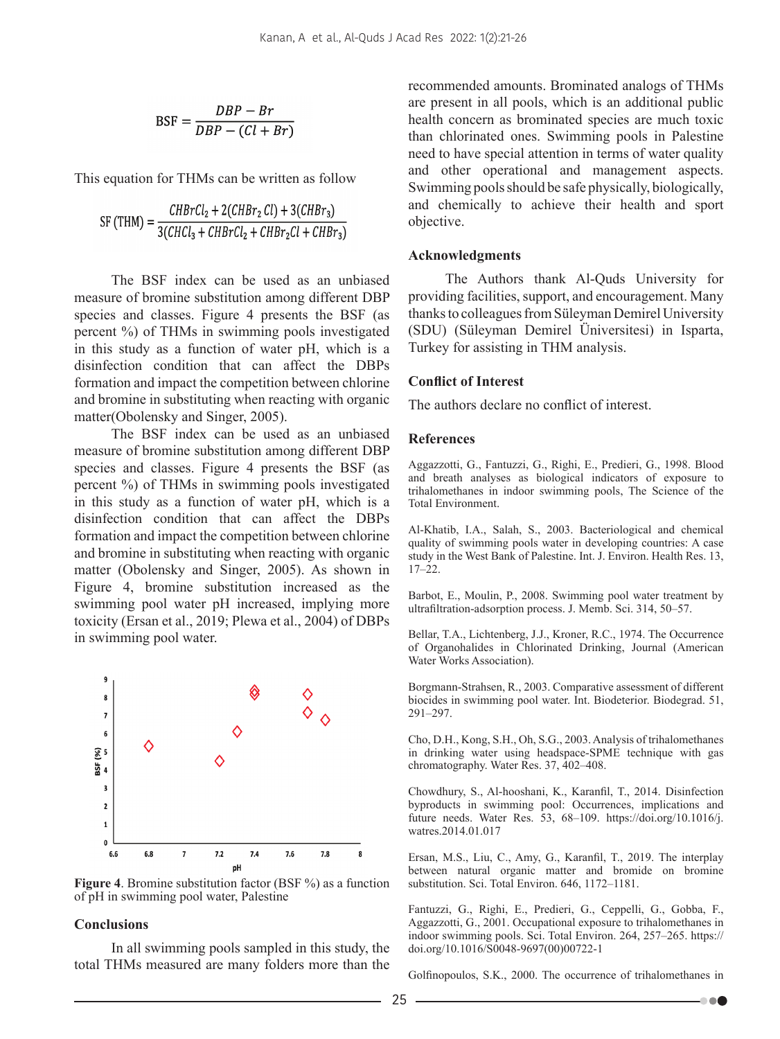$$
BSF = \frac{DBP - Br}{DBP - (Cl + Br)}
$$

This equation for THMs can be written as follow

$$
SF (THM) = \frac{CHBrCl_2 + 2(CHBr_2 Cl) + 3(CHBr_3)}{3(CHCl_3 + CHBrCl_2 + CHBr_2Cl + CHBr_3)}
$$

The BSF index can be used as an unbiased measure of bromine substitution among different DBP species and classes. Figure 4 presents the BSF (as percent %) of THMs in swimming pools investigated in this study as a function of water pH, which is a disinfection condition that can affect the DBPs formation and impact the competition between chlorine and bromine in substituting when reacting with organic matter(Obolensky and Singer, 2005).

The BSF index can be used as an unbiased measure of bromine substitution among different DBP species and classes. Figure 4 presents the BSF (as percent %) of THMs in swimming pools investigated in this study as a function of water pH, which is a disinfection condition that can affect the DBPs formation and impact the competition between chlorine and bromine in substituting when reacting with organic matter (Obolensky and Singer, 2005). As shown in Figure 4, bromine substitution increased as the swimming pool water pH increased, implying more toxicity (Ersan et al., 2019; Plewa et al., 2004) of DBPs in swimming pool water.



**Figure 4**. Bromine substitution factor (BSF %) as a function of pH in swimming pool water, Palestine

#### **Conclusions**

In all swimming pools sampled in this study, the total THMs measured are many folders more than the recommended amounts. Brominated analogs of THMs are present in all pools, which is an additional public health concern as brominated species are much toxic than chlorinated ones. Swimming pools in Palestine need to have special attention in terms of water quality and other operational and management aspects. Swimming pools should be safe physically, biologically, and chemically to achieve their health and sport objective.

#### **Acknowledgments**

The Authors thank Al-Quds University for providing facilities, support, and encouragement. Many thanks to colleagues from Süleyman Demirel University (SDU) (Süleyman Demirel Üniversitesi) in Isparta, Turkey for assisting in THM analysis.

#### **Conflict of Interest**

The authors declare no conflict of interest.

### **References**

Aggazzotti, G., Fantuzzi, G., Righi, E., Predieri, G., 1998. Blood and breath analyses as biological indicators of exposure to trihalomethanes in indoor swimming pools, The Science of the Total Environment.

Al-Khatib, I.A., Salah, S., 2003. Bacteriological and chemical quality of swimming pools water in developing countries: A case study in the West Bank of Palestine. Int. J. Environ. Health Res. 13, 17–22.

Barbot, E., Moulin, P., 2008. Swimming pool water treatment by ultrafiltration-adsorption process. J. Memb. Sci. 314, 50–57.

Bellar, T.A., Lichtenberg, J.J., Kroner, R.C., 1974. The Occurrence of Organohalides in Chlorinated Drinking, Journal (American Water Works Association).

Borgmann-Strahsen, R., 2003. Comparative assessment of different biocides in swimming pool water. Int. Biodeterior. Biodegrad. 51, 291–297.

Cho, D.H., Kong, S.H., Oh, S.G., 2003. Analysis of trihalomethanes in drinking water using headspace-SPME technique with gas chromatography. Water Res. 37, 402–408.

Chowdhury, S., Al-hooshani, K., Karanfil, T., 2014. Disinfection byproducts in swimming pool: Occurrences, implications and future needs. Water Res. 53, 68–109. https://doi.org/10.1016/j. watres.2014.01.017

Ersan, M.S., Liu, C., Amy, G., Karanfil, T., 2019. The interplay between natural organic matter and bromide on bromine substitution. Sci. Total Environ. 646, 1172–1181.

Fantuzzi, G., Righi, E., Predieri, G., Ceppelli, G., Gobba, F., Aggazzotti, G., 2001. Occupational exposure to trihalomethanes in indoor swimming pools. Sci. Total Environ. 264, 257–265. https:// doi.org/10.1016/S0048-9697(00)00722-1

Golfinopoulos, S.K., 2000. The occurrence of trihalomethanes in

-- 00